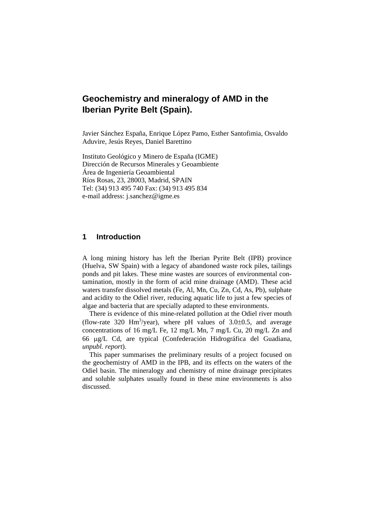# **Geochemistry and mineralogy of AMD in the Iberian Pyrite Belt (Spain).**

Javier Sánchez España, Enrique López Pamo, Esther Santofimia, Osvaldo Aduvire, Jesús Reyes, Daniel Barettino

Instituto Geológico y Minero de España (IGME) Dirección de Recursos Minerales y Geoambiente Área de Ingeniería Geoambiental Ríos Rosas, 23, 28003, Madrid, SPAIN Tel: (34) 913 495 740 Fax: (34) 913 495 834 e-mail address: j.sanchez@igme.es

## **1 Introduction**

A long mining history has left the Iberian Pyrite Belt (IPB) province (Huelva, SW Spain) with a legacy of abandoned waste rock piles, tailings ponds and pit lakes. These mine wastes are sources of environmental contamination, mostly in the form of acid mine drainage (AMD). These acid waters transfer dissolved metals (Fe, Al, Mn, Cu, Zn, Cd, As, Pb), sulphate and acidity to the Odiel river, reducing aquatic life to just a few species of algae and bacteria that are specially adapted to these environments.

There is evidence of this mine-related pollution at the Odiel river mouth (flow-rate 320  $\text{Hm}^3/\text{year}$ ), where pH values of 3.0 $\pm$ 0.5, and average concentrations of 16 mg/L Fe, 12 mg/L Mn, 7 mg/L Cu, 20 mg/L Zn and 66 μg/L Cd, are typical (Confederación Hidrográfica del Guadiana, *unpubl. report*).

This paper summarises the preliminary results of a project focused on the geochemistry of AMD in the IPB, and its effects on the waters of the Odiel basin. The mineralogy and chemistry of mine drainage precipitates and soluble sulphates usually found in these mine environments is also discussed.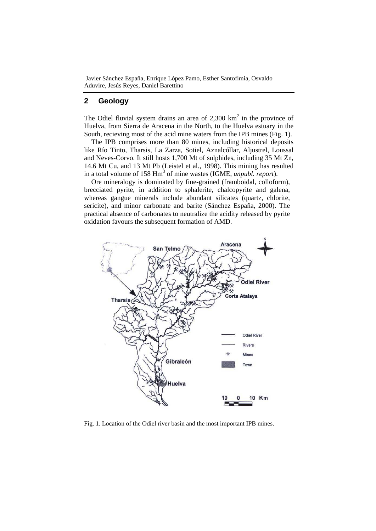Javier Sánchez España, Enrique López Pamo, Esther Santofimia, Osvaldo Aduvire, Jesús Reyes, Daniel Barettino

## **2 Geology**

The Odiel fluvial system drains an area of  $2,300 \text{ km}^2$  in the province of Huelva, from Sierra de Aracena in the North, to the Huelva estuary in the South, recieving most of the acid mine waters from the IPB mines (Fig. 1).

The IPB comprises more than 80 mines, including historical deposits like Río Tinto, Tharsis, La Zarza, Sotiel, Aznalcóllar, Aljustrel, Loussal and Neves-Corvo. It still hosts 1,700 Mt of sulphides, including 35 Mt Zn, 14.6 Mt Cu, and 13 Mt Pb (Leistel et al., 1998). This mining has resulted in a total volume of 158 Hm<sup>3</sup> of mine wastes (IGME, *unpubl. report*).

Ore mineralogy is dominated by fine-grained (framboidal, colloform), brecciated pyrite, in addition to sphalerite, chalcopyrite and galena, whereas gangue minerals include abundant silicates (quartz, chlorite, sericite), and minor carbonate and barite (Sánchez España, 2000). The practical absence of carbonates to neutralize the acidity released by pyrite oxidation favours the subsequent formation of AMD.



Fig. 1. Location of the Odiel river basin and the most important IPB mines.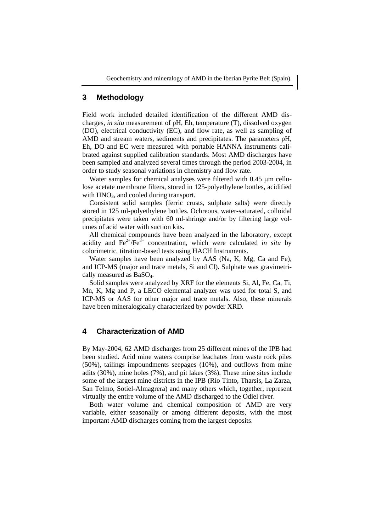#### **3 Methodology**

Field work included detailed identification of the different AMD discharges, *in situ* measurement of pH, Eh, temperature (T), dissolved oxygen (DO), electrical conductivity (EC), and flow rate, as well as sampling of AMD and stream waters, sediments and precipitates. The parameters pH, Eh, DO and EC were measured with portable HANNA instruments calibrated against supplied calibration standards. Most AMD discharges have been sampled and analyzed several times through the period 2003-2004, in order to study seasonal variations in chemistry and flow rate.

Water samples for chemical analyses were filtered with 0.45 μm cellulose acetate membrane filters, stored in 125-polyethylene bottles, acidified with  $HNO<sub>3</sub>$ , and cooled during transport.

Consistent solid samples (ferric crusts, sulphate salts) were directly stored in 125 ml-polyethylene bottles. Ochreous, water-saturated, colloidal precipitates were taken with 60 ml-shringe and/or by filtering large volumes of acid water with suction kits.

All chemical compounds have been analyzed in the laboratory, except acidity and  $\text{Fe}^{2+}/\text{Fe}^{3+}$  concentration, which were calculated *in situ* by colorimetric, titration-based tests using HACH Instruments.

Water samples have been analyzed by AAS (Na, K, Mg, Ca and Fe), and ICP-MS (major and trace metals, Si and Cl). Sulphate was gravimetrically measured as BaSO4.

Solid samples were analyzed by XRF for the elements Si, Al, Fe, Ca, Ti, Mn, K, Mg and P, a LECO elemental analyzer was used for total S, and ICP-MS or AAS for other major and trace metals. Also, these minerals have been mineralogically characterized by powder XRD.

#### **4 Characterization of AMD**

By May-2004, 62 AMD discharges from 25 different mines of the IPB had been studied. Acid mine waters comprise leachates from waste rock piles (50%), tailings impoundments seepages (10%), and outflows from mine adits (30%), mine holes (7%), and pit lakes (3%). These mine sites include some of the largest mine districts in the IPB (Río Tinto, Tharsis, La Zarza, San Telmo, Sotiel-Almagrera) and many others which, together, represent virtually the entire volume of the AMD discharged to the Odiel river.

Both water volume and chemical composition of AMD are very variable, either seasonally or among different deposits, with the most important AMD discharges coming from the largest deposits.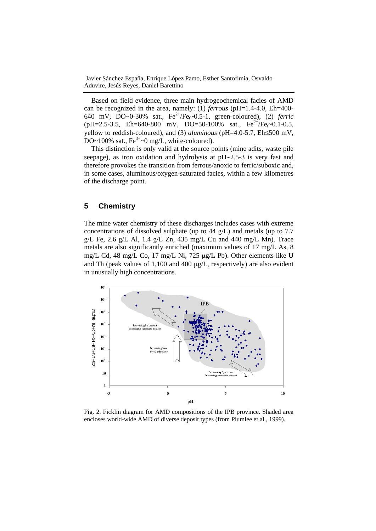Based on field evidence, three main hydrogeochemical facies of AMD can be recognized in the area, namely: (1) *ferrous* (pH=1.4-4.0, Eh=400- 640 mV,  $DO~0.30\%$  sat.,  $Fe^{2+}/Fe_{r}~0.5-1$ , green-coloured), (2) *ferric* (pH=2.5-3.5, Eh=640-800 mV, DO=50-100% sat.,  $Fe^{2+}/Fe$ <sub>1</sub>-0.1-0.5, yellow to reddish-coloured), and (3) *aluminous* (pH=4.0-5.7, Eh≤500 mV, DO~100% sat.,  $Fe^{3+}$ ~0 mg/L, white-coloured).

This distinction is only valid at the source points (mine adits, waste pile seepage), as iron oxidation and hydrolysis at pH∼2.5-3 is very fast and therefore provokes the transition from ferrous/anoxic to ferric/suboxic and, in some cases, aluminous/oxygen-saturated facies, within a few kilometres of the discharge point.

# **5 Chemistry**

The mine water chemistry of these discharges includes cases with extreme concentrations of dissolved sulphate (up to 44 g/L) and metals (up to 7.7 g/L Fe, 2.6 g/L Al, 1.4 g/L Zn, 435 mg/L Cu and 440 mg/L Mn). Trace metals are also significantly enriched (maximum values of 17 mg/L As, 8 mg/L Cd, 48 mg/L Co, 17 mg/L Ni, 725 μg/L Pb). Other elements like U and Th (peak values of 1,100 and 400 μg/L, respectively) are also evident in unusually high concentrations.



Fig. 2. Ficklin diagram for AMD compositions of the IPB province. Shaded area encloses world-wide AMD of diverse deposit types (from Plumlee et al., 1999).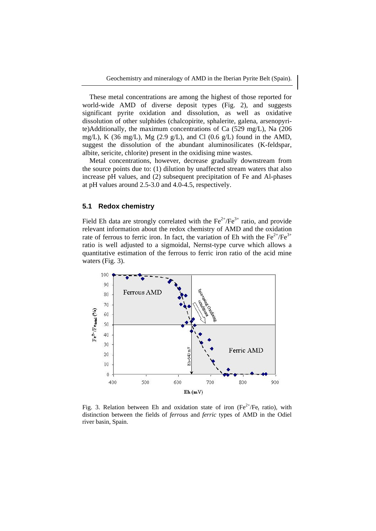These metal concentrations are among the highest of those reported for world-wide AMD of diverse deposit types (Fig. 2), and suggests significant pyrite oxidation and dissolution, as well as oxidative dissolution of other sulphides (chalcopirite, sphalerite, galena, arsenopyrite). Additionally, the maximum concentrations of Ca  $(529 \text{ mg/L})$ , Na  $(206 \text{ g})$ mg/L), K (36 mg/L), Mg (2.9 g/L), and Cl (0.6 g/L) found in the AMD, suggest the dissolution of the abundant aluminosilicates (K-feldspar, albite, sericite, chlorite) present in the oxidising mine wastes.

Metal concentrations, however, decrease gradually downstream from the source points due to: (1) dilution by unaffected stream waters that also increase pH values, and (2) subsequent precipitation of Fe and Al-phases at pH values around 2.5-3.0 and 4.0-4.5, respectively.

#### **5.1 Redox chemistry**

Field Eh data are strongly correlated with the  $Fe^{2+}/Fe^{3+}$  ratio, and provide relevant information about the redox chemistry of AMD and the oxidation rate of ferrous to ferric iron. In fact, the variation of Eh with the  $Fe^{2+}/Fe^{3+}$ ratio is well adjusted to a sigmoidal, Nernst-type curve which allows a quantitative estimation of the ferrous to ferric iron ratio of the acid mine waters (Fig. 3).



Fig. 3. Relation between Eh and oxidation state of iron  $(Fe^{2+}/Fe_{t} \text{ ratio})$ , with distinction between the fields of *ferrous* and *ferric* types of AMD in the Odiel river basin, Spain.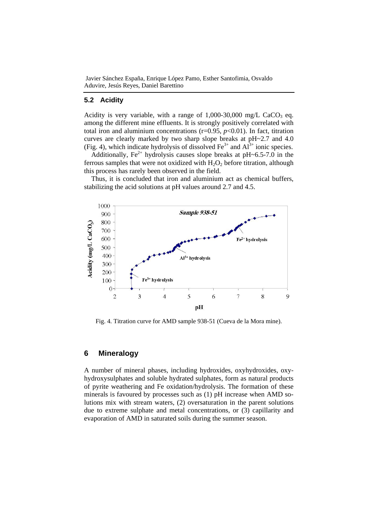Javier Sánchez España, Enrique López Pamo, Esther Santofimia, Osvaldo Aduvire, Jesús Reyes, Daniel Barettino

#### **5.2 Acidity**

Acidity is very variable, with a range of  $1,000-30,000$  mg/L CaCO<sub>3</sub> eq. among the different mine effluents. It is strongly positively correlated with total iron and aluminium concentrations  $(r=0.95, p<0.01)$ . In fact, titration curves are clearly marked by two sharp slope breaks at pH~2.7 and 4.0 (Fig. 4), which indicate hydrolysis of dissolved  $Fe^{3+}$  and  $Al^{3+}$  ionic species.

Additionally, Fe<sup>2+</sup> hydrolysis causes slope breaks at pH~6.5-7.0 in the ferrous samples that were not oxidized with  $H_2O_2$  before titration, although this process has rarely been observed in the field.

Thus, it is concluded that iron and aluminium act as chemical buffers, stabilizing the acid solutions at pH values around 2.7 and 4.5.



Fig. 4. Titration curve for AMD sample 938-51 (Cueva de la Mora mine).

## **6 Mineralogy**

A number of mineral phases, including hydroxides, oxyhydroxides, oxyhydroxysulphates and soluble hydrated sulphates, form as natural products of pyrite weathering and Fe oxidation/hydrolysis. The formation of these minerals is favoured by processes such as (1) pH increase when AMD solutions mix with stream waters, (2) oversaturation in the parent solutions due to extreme sulphate and metal concentrations, or (3) capillarity and evaporation of AMD in saturated soils during the summer season.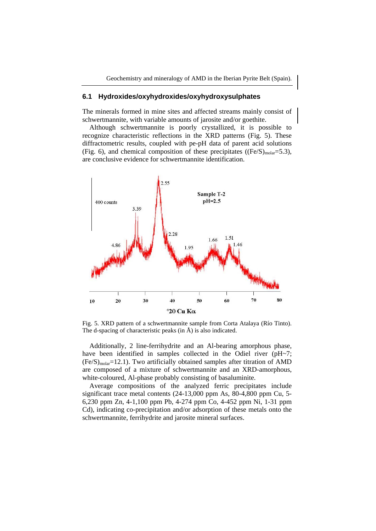#### **6.1 Hydroxides/oxyhydroxides/oxyhydroxysulphates**

The minerals formed in mine sites and affected streams mainly consist of schwertmannite, with variable amounts of jarosite and/or goethite.

Although schwertmannite is poorly crystallized, it is possible to recognize characteristic reflections in the XRD patterns (Fig. 5). These diffractometric results, coupled with pe-pH data of parent acid solutions (Fig. 6), and chemical composition of these precipitates ( $(Fe/S)_{molar} = 5.3$ ), are conclusive evidence for schwertmannite identification.



Fig. 5. XRD pattern of a schwertmannite sample from Corta Atalaya (Río Tinto). The d-spacing of characteristic peaks (in Å) is also indicated.

Additionally, 2 line-ferrihydrite and an Al-bearing amorphous phase, have been identified in samples collected in the Odiel river (pH~7;  $(Fe/S)_{molar}$ =12.1). Two artificially obtained samples after titration of AMD are composed of a mixture of schwertmannite and an XRD-amorphous, white-coloured, Al-phase probably consisting of basaluminite.

Average compositions of the analyzed ferric precipitates include significant trace metal contents (24-13,000 ppm As, 80-4,800 ppm Cu, 5- 6,230 ppm Zn, 4-1,100 ppm Pb, 4-274 ppm Co, 4-452 ppm Ni, 1-31 ppm Cd), indicating co-precipitation and/or adsorption of these metals onto the schwertmannite, ferrihydrite and jarosite mineral surfaces.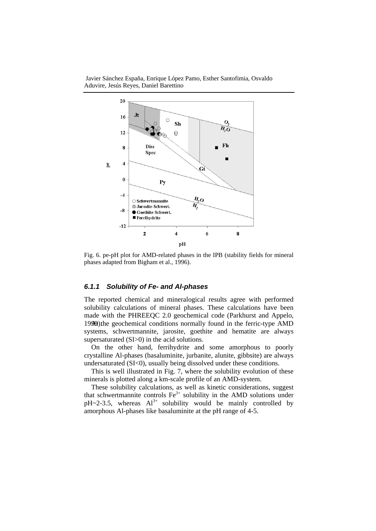



Fig. 6. pe-pH plot for AMD-related phases in the IPB (stability fields for mineral phases adapted from Bigham et al., 1996).

#### *6.1.1 Solubility of Fe- and Al-phases*

The reported chemical and mineralogical results agree with performed solubility calculations of mineral phases. These calculations have been made with the PHREEQC 2.0 geochemical code (Parkhurst and Appelo, 199 $\theta$ ) the geochemical conditions normally found in the ferric-type AMD systems, schwertmannite, jarosite, goethite and hematite are always supersaturated (SI $>0$ ) in the acid solutions.

On the other hand, ferrihydrite and some amorphous to poorly crystalline Al-phases (basaluminite, jurbanite, alunite, gibbsite) are always undersaturated (SI<0), usually being dissolved under these conditions.

This is well illustrated in Fig. 7, where the solubility evolution of these minerals is plotted along a km-scale profile of an AMD-system.

These solubility calculations, as well as kinetic considerations, suggest that schwertmannite controls  $Fe<sup>3+</sup>$  solubility in the AMD solutions under  $pH \sim 2-3.5$ , whereas  $Al^{3+}$  solubility would be mainly controlled by amorphous Al-phases like basaluminite at the pH range of 4-5.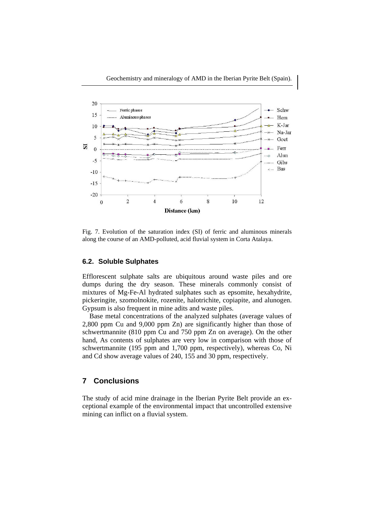

Fig. 7. Evolution of the saturation index (SI) of ferric and aluminous minerals along the course of an AMD-polluted, acid fluvial system in Corta Atalaya.

#### **6.2. Soluble Sulphates**

Efflorescent sulphate salts are ubiquitous around waste piles and ore dumps during the dry season. These minerals commonly consist of mixtures of Mg-Fe-Al hydrated sulphates such as epsomite, hexahydrite, pickeringite, szomolnokite, rozenite, halotrichite, copiapite, and alunogen. Gypsum is also frequent in mine adits and waste piles.

Base metal concentrations of the analyzed sulphates (average values of 2,800 ppm Cu and 9,000 ppm Zn) are significantly higher than those of schwertmannite (810 ppm Cu and 750 ppm Zn on average). On the other hand, As contents of sulphates are very low in comparison with those of schwertmannite (195 ppm and 1,700 ppm, respectively), whereas Co, Ni and Cd show average values of 240, 155 and 30 ppm, respectively.

#### **7 Conclusions**

The study of acid mine drainage in the Iberian Pyrite Belt provide an exceptional example of the environmental impact that uncontrolled extensive mining can inflict on a fluvial system.